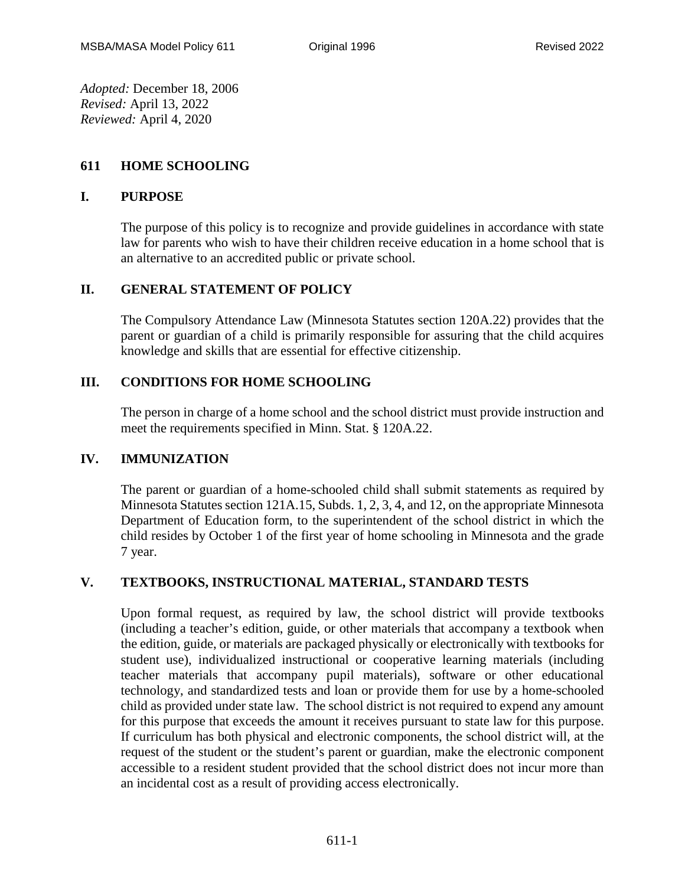*Adopted:* December 18, 2006 *Revised:* April 13, 2022 *Reviewed:* April 4, 2020

## **611 HOME SCHOOLING**

#### **I. PURPOSE**

The purpose of this policy is to recognize and provide guidelines in accordance with state law for parents who wish to have their children receive education in a home school that is an alternative to an accredited public or private school.

## **II. GENERAL STATEMENT OF POLICY**

The Compulsory Attendance Law (Minnesota Statutes section 120A.22) provides that the parent or guardian of a child is primarily responsible for assuring that the child acquires knowledge and skills that are essential for effective citizenship.

# **III. CONDITIONS FOR HOME SCHOOLING**

The person in charge of a home school and the school district must provide instruction and meet the requirements specified in Minn. Stat. § 120A.22.

## **IV. IMMUNIZATION**

The parent or guardian of a home-schooled child shall submit statements as required by Minnesota Statutes section 121A.15, Subds. 1, 2, 3, 4, and 12, on the appropriate Minnesota Department of Education form, to the superintendent of the school district in which the child resides by October 1 of the first year of home schooling in Minnesota and the grade 7 year.

## **V. TEXTBOOKS, INSTRUCTIONAL MATERIAL, STANDARD TESTS**

Upon formal request, as required by law, the school district will provide textbooks (including a teacher's edition, guide, or other materials that accompany a textbook when the edition, guide, or materials are packaged physically or electronically with textbooks for student use), individualized instructional or cooperative learning materials (including teacher materials that accompany pupil materials), software or other educational technology, and standardized tests and loan or provide them for use by a home-schooled child as provided under state law. The school district is not required to expend any amount for this purpose that exceeds the amount it receives pursuant to state law for this purpose. If curriculum has both physical and electronic components, the school district will, at the request of the student or the student's parent or guardian, make the electronic component accessible to a resident student provided that the school district does not incur more than an incidental cost as a result of providing access electronically.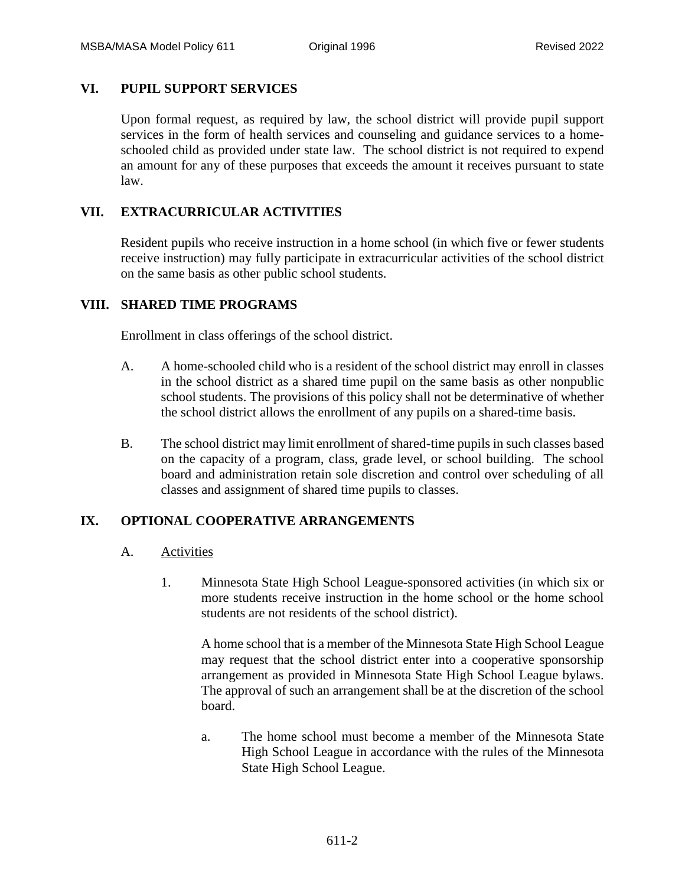#### **VI. PUPIL SUPPORT SERVICES**

Upon formal request, as required by law, the school district will provide pupil support services in the form of health services and counseling and guidance services to a homeschooled child as provided under state law. The school district is not required to expend an amount for any of these purposes that exceeds the amount it receives pursuant to state law.

## **VII. EXTRACURRICULAR ACTIVITIES**

Resident pupils who receive instruction in a home school (in which five or fewer students receive instruction) may fully participate in extracurricular activities of the school district on the same basis as other public school students.

#### **VIII. SHARED TIME PROGRAMS**

Enrollment in class offerings of the school district.

- A. A home-schooled child who is a resident of the school district may enroll in classes in the school district as a shared time pupil on the same basis as other nonpublic school students. The provisions of this policy shall not be determinative of whether the school district allows the enrollment of any pupils on a shared-time basis.
- B. The school district may limit enrollment of shared-time pupils in such classes based on the capacity of a program, class, grade level, or school building. The school board and administration retain sole discretion and control over scheduling of all classes and assignment of shared time pupils to classes.

## **IX. OPTIONAL COOPERATIVE ARRANGEMENTS**

- A. Activities
	- 1. Minnesota State High School League-sponsored activities (in which six or more students receive instruction in the home school or the home school students are not residents of the school district).

A home school that is a member of the Minnesota State High School League may request that the school district enter into a cooperative sponsorship arrangement as provided in Minnesota State High School League bylaws. The approval of such an arrangement shall be at the discretion of the school board.

a. The home school must become a member of the Minnesota State High School League in accordance with the rules of the Minnesota State High School League.